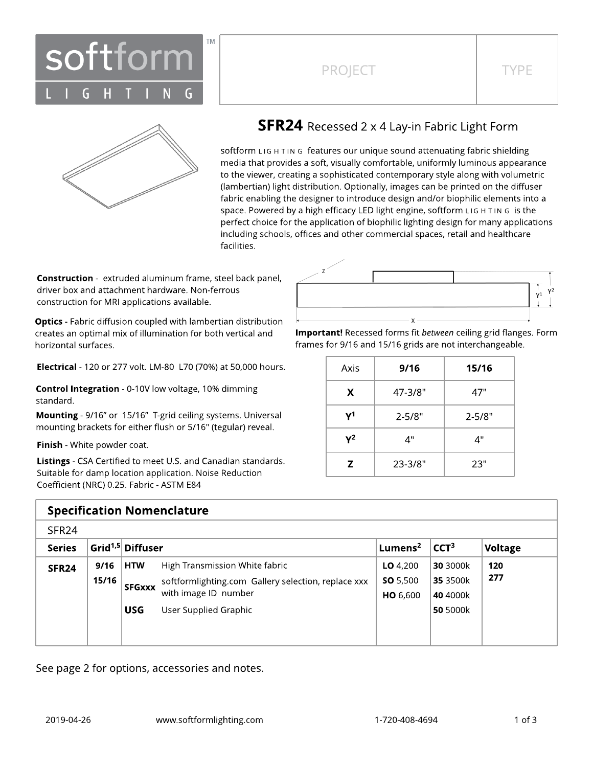

## PROJECT TYPE



### **SFR24** Recessed 2 x 4 Lay-in Fabric Light Form

softform LIG H TIN G features our unique sound attenuating fabric shielding media that provides a soft, visually comfortable, uniformly luminous appearance to the viewer, creating a sophisticated contemporary style along with volumetric (lambertian) light distribution. Optionally, images can be printed on the diffuser fabric enabling the designer to introduce design and/or biophilic elements into a space. Powered by a high efficacy LED light engine, softform L IG H T IN G is the perfect choice for the application of biophilic lighting design for many applications including schools, offices and other commercial spaces, retail and healthcare facilities.

**Construction** - extruded aluminum frame, steel back panel, driver box and attachment hardware. Non-ferrous construction for MRI applications available.

**Optics** - Fabric diffusion coupled with lambertian distribution creates an optimal mix of illumination for both vertical and horizontal surfaces.

Electrical - 120 or 277 volt. LM-80 L70 (70%) at 50,000 hours.

Control Integration - 0-10V low voltage, 10% dimming standard.

Mounting - 9/16" or 15/16" T-grid ceiling systems. Universal mounting brackets for either flush or 5/16" (tegular) reveal.

Finish - White powder coat.

Listings - CSA Certified to meet U.S. and Canadian standards. Suitable for damp location application. Noise Reduction Coefficient (NRC) 0.25. Fabric - ASTM E84

| <b>Specification Nomenclature</b> |       |                              |                                                     |                                    |                  |                |  |  |  |  |  |  |  |
|-----------------------------------|-------|------------------------------|-----------------------------------------------------|------------------------------------|------------------|----------------|--|--|--|--|--|--|--|
| SFR <sub>24</sub>                 |       |                              |                                                     |                                    |                  |                |  |  |  |  |  |  |  |
| <b>Series</b>                     |       | Grid <sup>1,5</sup> Diffuser |                                                     | Lumens <sup>2</sup>                | CCT <sup>3</sup> | <b>Voltage</b> |  |  |  |  |  |  |  |
| SFR <sub>24</sub>                 | 9/16  | <b>HTW</b>                   | High Transmission White fabric                      | $LO$ 4,200                         | 30 3000k         | 120            |  |  |  |  |  |  |  |
|                                   | 15/16 | <b>SFGxxx</b>                | softformlighting.com Gallery selection, replace xxx | <b>SO</b> 5,500<br><b>HO</b> 6,600 | 35 3500k         | 277            |  |  |  |  |  |  |  |
|                                   |       |                              | with image ID number                                |                                    | 40 4000k         |                |  |  |  |  |  |  |  |
|                                   |       | <b>USG</b>                   | User Supplied Graphic                               |                                    | 50 5000k         |                |  |  |  |  |  |  |  |
|                                   |       |                              |                                                     |                                    |                  |                |  |  |  |  |  |  |  |
|                                   |       |                              |                                                     |                                    |                  |                |  |  |  |  |  |  |  |

See page 2 for options, accessories and notes.

Important! Recessed forms fit between ceiling grid flanges. Form frames for 9/16 and 15/16 grids are not interchangeable.

| Axis  | 9/16        | 15/16      |
|-------|-------------|------------|
| X     | 47-3/8"     | 47"        |
| γ1    | $2 - 5/8"$  | $2 - 5/8"$ |
| $Y^2$ | ⊿"          | ⊿"         |
| Z     | $23 - 3/8"$ | 23"        |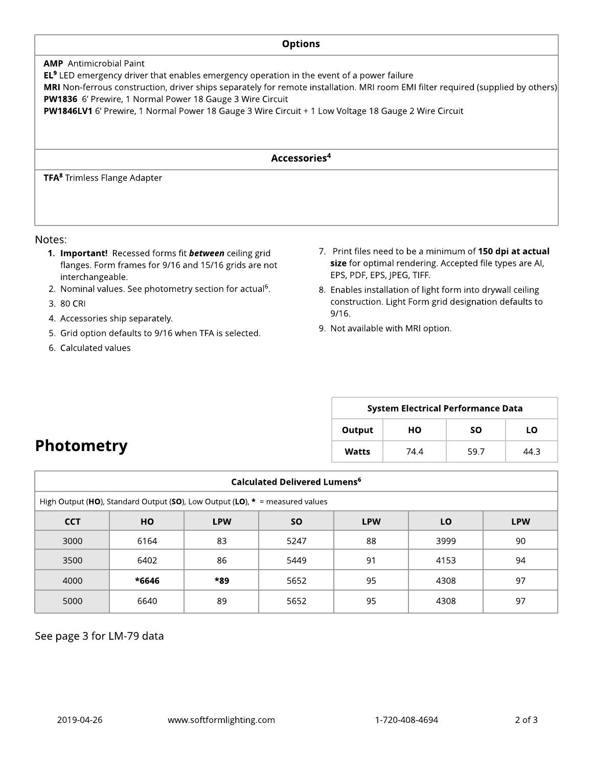# **Options** AMP Antimicrobial Paint **EL<sup>9</sup>** LED emergency driver that enables emergency operation in the event of a power failure MRI Non-ferrous construction, driver ships separately for remote installation. MRI room EMI filter required (supplied by others) PW1836 6' Prewire, 1 Normal Power 18 Gauge 3 Wire Circuit PW1846LV1 6' Prewire, 1 Normal Power 18 Gauge 3 Wire Circuit + 1 Low Voltage 18 Gauge 2 Wire Circuit Accessories 4 TFA <sup>8</sup> Trimless Flange Adapter

#### Notes:

- 1. Important! Recessed forms fit **between** ceiling grid flanges. Form frames for 9/16 and 15/16 grids are not interchangeable.
- 2. Nominal values. See photometry section for actual<sup>6</sup>.
- 3. 80 CRI
- 4. Accessories ship separately.
- 5. Grid option defaults to 9/16 when TFA is selected.
- 6. Calculated values
- 7. Print files need to be a minimum of 150 dpi at actual size for optimal rendering. Accepted file types are AI, EPS, PDF, EPS, JPEG, TIFF.
- 8. Enables installation of light form into drywall ceiling construction. Light Form grid designation defaults to 9/16.
- 9. Not available with MRI option.

| <b>System Electrical Performance Data</b> |      |      |      |  |  |  |  |  |  |  |
|-------------------------------------------|------|------|------|--|--|--|--|--|--|--|
| Output                                    | HО   | SΟ   | LΟ   |  |  |  |  |  |  |  |
| Watts                                     | 74.4 | 59.7 | 44 R |  |  |  |  |  |  |  |

# **Photometry**

| Calculated Delivered Lumens <sup>6</sup>                                             |       |     |      |    |      |    |  |  |  |  |  |  |
|--------------------------------------------------------------------------------------|-------|-----|------|----|------|----|--|--|--|--|--|--|
| High Output (HO), Standard Output (SO), Low Output (LO), $* =$ measured values       |       |     |      |    |      |    |  |  |  |  |  |  |
| <b>CCT</b><br><b>LPW</b><br><b>SO</b><br>LO<br><b>HO</b><br><b>LPW</b><br><b>LPW</b> |       |     |      |    |      |    |  |  |  |  |  |  |
| 3000                                                                                 | 6164  | 83  | 5247 | 88 | 3999 | 90 |  |  |  |  |  |  |
| 3500                                                                                 | 6402  | 86  | 5449 | 91 | 4153 | 94 |  |  |  |  |  |  |
| 4000                                                                                 | *6646 | *89 | 5652 | 95 | 4308 | 97 |  |  |  |  |  |  |
| 5000                                                                                 | 6640  | 89  | 5652 | 95 | 4308 | 97 |  |  |  |  |  |  |

See page 3 for LM-79 data